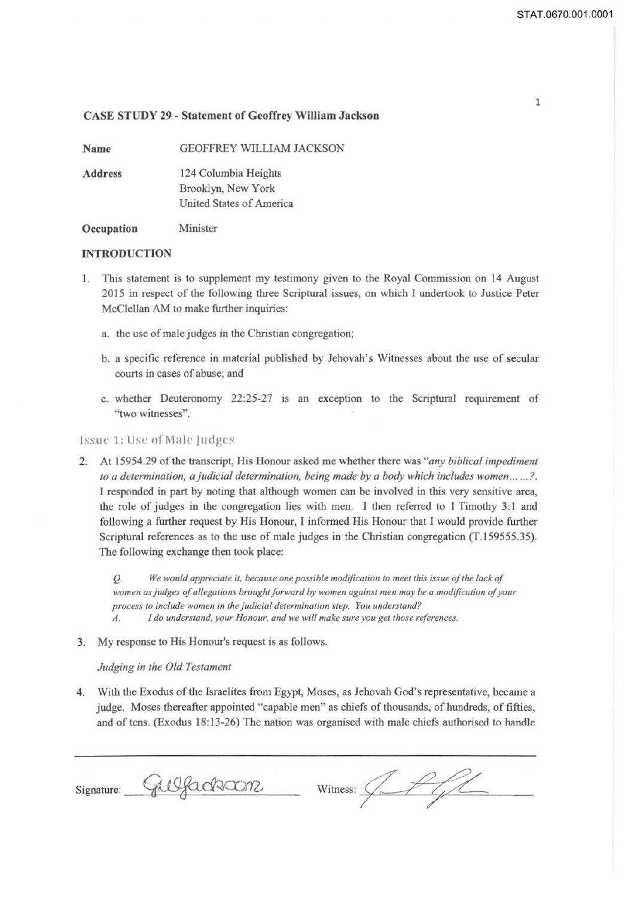Name

GEOFFREY WILLIAM JACKSON

Address 124 Columbia Heights Brooklyn, New York United States of America

**Occupation** Minister

## INTRODUCTION

- I. This statement is to supplement my testimony given to the Royal Commission on 14 August 2015 in respect of the following three Scriptural issues, on which I undertook to Justice Peter McClellan AM to make further inquiries:
	- a. the use of male judges in the Christian congregation;
	- b. a specific reference in material published by Jehovah's Witnesses about the use of secular courts in cases of abuse; and
	- c. whether Deuteronomy 22:25-27 is an exception to the Scriptural requirement of "two witnesses".

## Issue 1: Use of Male Judges

2. At 15954.29 of the transcript, His Honour asked me whether there was *"any biblical impediment to a determination, a judicial determination, being made by a body which includes women ...... ?.*  I responded in part by noting that although women can be involved in this very sensitive area, the role of judges in the congregation lies with men. I then referred to 1 Timothy 3:1 and following a further request by His Honour, I informed His Honour that I would provide further Scriptural references as to the use of male judges in the Christian congregation (T.159555.35). The following exchange then took place:

Q. *We would appreciate it, because one possible modification to meet this issue of the lack of women as judges of allegations brought forward by women against men may be a modification of your process to include women in the judicial determination step. You understand?* 

- *A. I do understand, your Honour, and we will make sure you get those references.*
- 3. My response to His Honour's request is as follows.

## *Judging in the Old Testament*

4. With the Exodus of the Israelites from Egypt, Moses, as Jehovah God's representative, became a judge. Moses thereafter appointed "capable men" as chiefs of thousands, of hundreds, of fifties, and of tens. (Exodus 18: 13-26) The nation was organised with male chiefs authorised to handle

 $Signature: 40960000$  witness:  $47/10$ 

1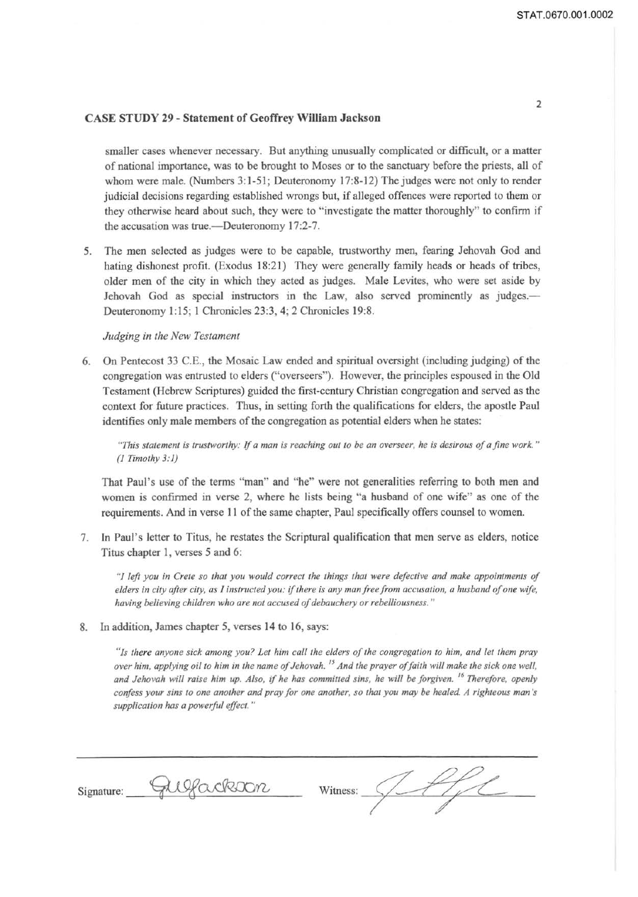smaller cases whenever necessary. But anything unusually complicated or difficult, or a matter of national importance, was to be brought to Moses or to the sanctuary before the priests, all of whom were male. (Numbers 3:1-51; Deuteronomy 17:8-12) The judges were not only to render judicial decisions regarding established wrongs but, if alleged offences were reported to them or they otherwise heard about such, they were to " investigate the matter thoroughly" to confirm if the accusation was true.—Deuteronomy 17:2-7.

5. The men selected as judges were to be capable, trustworthy men, fearing Jehovah God and hating dishonest profit. (Exodus 18:21) They were generally family heads or heads of tribes, older men of the city in which they acted as judges. Male Levites, who were set aside by Jehovah God as special instructors in the Law, also served prominently as judges.— Deuteronomy 1:15; 1 Chronicles 23:3, 4; 2 Chronicles 19:8.

#### *Judging in the New Testament*

6. On Pentecost 33 C.E., the Mosaic Law ended and spiritual oversight (including judging) of the congregation was entrusted to elders ("overseers"). However, the principles espoused in the Old Testament (Hebrew Scriptures) guided the first-century Christian congregation and served as the context for future practices. Thus, in setting forth the qualifications for elders, the apostle Paul identifies only male members of the congregation as potential elders when he states:

*"This statement is trustworthy:* If *a man is reaching out to be an overseer, he is desirous of a fine work* " *(1Timothy3:1)* 

That Paul's use of the terms "man" and "he" were not generalities referring to both men and women is confirmed in verse 2, where he lists being "a husband of one wife" as one of the requirements. And in verse 11 of the same chapter, Paul specifically offers counsel to women.

7. Jn Paul's letter to Titus, he restates the Scriptural qualification that men serve as elders, notice Titus chapter 1, verses 5 and 6:

"l *left you in Crete so that you would correct the things that were defective and make appointments of elders in city after city, as I instructed you: if there is any man free from accusation, a husband of one wife, having believing children who are not accused of debauchery or rebelliousness."* 

8. In addition, James chapter 5, verses 14 to 16, says:

*"Is there anyone sick among you? Let him call the elders of the congregation to him, and let them pray over him, applying oil lo him in the name of Jehovah.* 15 *And the prayer of faith will make the sick one well, and Jehovah will raise him up. Also, if he has committed sins, he will be forgiven. 16 'Therefore, openly confess your sins to one another and pray for one another, so that you may be healed A righteous man 's supplication has a powerful effect.* "

| Signature: | Weackson | Witness: |
|------------|----------|----------|
|            |          |          |

2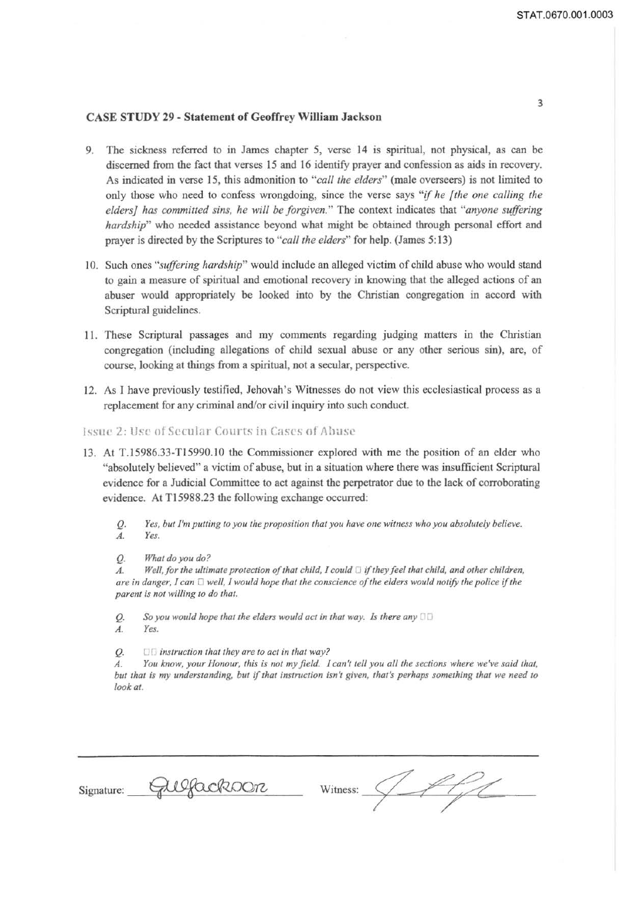- 9. The sickness referred to in James chapter 5, verse 14 is spiritual, not physical, as can be discerned from the fact that verses 15 and 16 identify prayer and confession as aids in recovery. As indicated in verse 15, this admonition to *"call the elders"* (male overseers) is not limited to only those who need to confess wrongdoing, since the verse says "if *he [the one calling the eiders] has committed sins, he will be forgiven."* The context indicates that *"anyone suffering hardship*" who needed assistance beyond what might be obtained through personal effort and prayer is directed by the Scriptures to *"call the elders"* for help. (James 5: 13)
- 10. Such ones *"suffering hardship"* would include an alleged victim of child abuse who would stand to gain a measure of spiritual and emotional recovery in knowing that the alleged actions of an abuser would appropriately be looked into by the Christian congregation in accord with Scriptural guidelines.
- 11. These Scriptural passages and my comments regarding judging matters in the Christian congregation (including allegations of child sexual abuse or any other serious sin), are, of course, looking at things from a spiritual, not a secular, perspective.
- 12. As I have previously testified, Jehovah's Witnesses do not view this ecclesiastical process as a replacement for any criminal and/or civil inquiry into such conduct.
- Issue 2: Use of Secular Courts in Cases of Abuse
- 13. At T.15986.33-T1 5990.IO the Commissioner explored with me the position of an elder who "absolutely believed" a victim of abuse, but in a situation where there was insufficient Scriptural evidence for a Judicial Committee to act against the perpetrator due to the lack of corroborating evidence. At Tl 5988.23 the following exchange occurred:
	- Q. *Yes, but I'm putting to you the proposition that you have one witness who you absolutely believe. A. Yes.*
	- Q. *What do you do?*

 $A.$  Well, for the ultimate protection of that child, I could  $\Box$  if they feel that child, and other children, *are in danger, I can* 0 *well, I would hope that the conscience of the elders would notify the police* if *the parent is not willing to do that.* 

*Q. So you would hope that the elders would act in that way. Is there any A. Yes.* 

Q. 011 *instruction that they are to act in that way?* 

*A. You know, your Honour, this is not my field. I can't tell you all the sections where we've said that, but that is my understanding, but* if *that instmction isn't given, that's perhaps something that we need to look at.* 

| Signature: | Gulfacksoon | Witness: |  |
|------------|-------------|----------|--|
|------------|-------------|----------|--|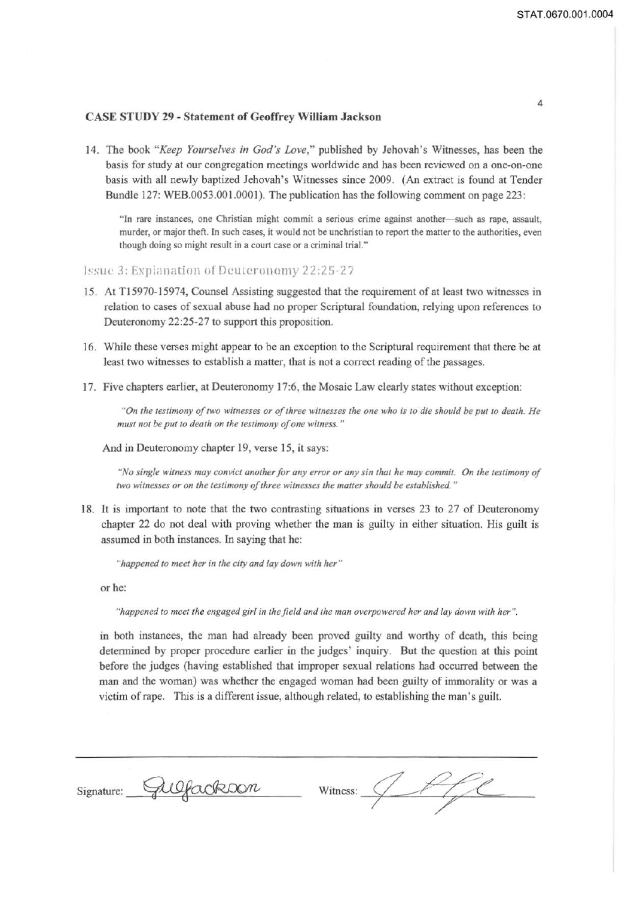4

## **CASE STUDY 29 - Statement of Geoffrey William Jackson**

14. The book *"Keep Yourselves in God's Love,"* published by Jehovah's Witnesses, has been the basis for study at our congregation meetings worldwide and has been reviewed on a one-on-one basis with all newly baptized Jehovah's Witnesses since 2009. (An extract is found at Tender Bundle 127: WEB.0053.001.0001). The publication has the following comment on page 223:

"In rare instances, one Christian might commit a serious crime against another--such as rape, assault, murder, or major theft. In such cases, it would not be unchristian to report the matter to the authorities, even though doing so might result in a court case or a criminal trial."

)~sue 3: Exp!anation of Deuteronomy 12:25-27

- 15. At TJ5970-15974, Counsel Assisting suggested that the requirement of at least two witnesses in relation to cases of sexual abuse had no proper Scriptural foundation, relying upon references to Deuteronomy 22:25-27 to support this proposition.
- 16. While these verses might appear to be an exception to the Scriptural requirement that there be at least two witnesses to establish a matter, that is not a correct reading of the passages.
- 17. Five chapters earlier, at Deuteronomy 17:6, the Mosaic Law clearly states without exception:

*"On the testimony of two witnesses or of three witnesses the one who is to die should be put to death. He must not be put to death on the testimony of one witness."* 

And in Deuteronomy chapter 19, verse 15, it says:

*"No single witness may convict another for any error or any sin that he may commit. On the testimony of two witnesses or on the testimony of three witnesses the matter should be established.* "

18. It is important to note that the two contrasting situations in verses 23 to 27 of Deuteronomy chapter 22 do not deal with proving whether the man is guilty in either situation. His guilt is assumed in both instances. In saying that he:

*"happened to meet her in the city and lay down with her"* 

or he:

*"happened to meet the engaged girl in the.field and the man overpowered her and lay down with her ".* 

in both instances, the man had already been proved guilty and worthy of death, this being determined by proper procedure earlier in the judges' inquiry. But the question at this point before the judges (having established that improper sexual relations had occurred between the man and the woman) was whether the engaged woman had been guilty of immorality or was a victim ofrape. This is a different issue, although related, to establishing the man 's guilt.

| Gulfackson<br>Signature:<br>Witness: |  |
|--------------------------------------|--|
|--------------------------------------|--|